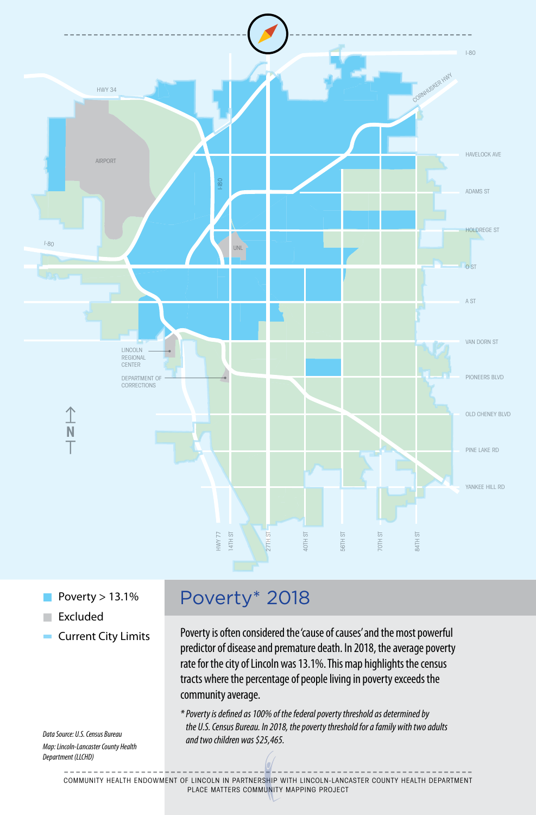

- Poverty  $> 13.1\%$
- Excluded
- **Current City Limits**

*Data Source: U.S. Census Bureau Map: Lincoln-Lancaster County Health Department (LLCHD)*

## Poverty\* 2018

Poverty is often considered the 'cause of causes' and the most powerful predictor of disease and premature death. In 2018, the average poverty rate for the city of Lincoln was 13.1%. This map highlights the census tracts where the percentage of people living in poverty exceeds the community average.

*\* Poverty is defined as 100% of the federal poverty threshold as determined by the U.S. Census Bureau. In 2018, the poverty threshold for a family with two adults and two children was \$25,465.*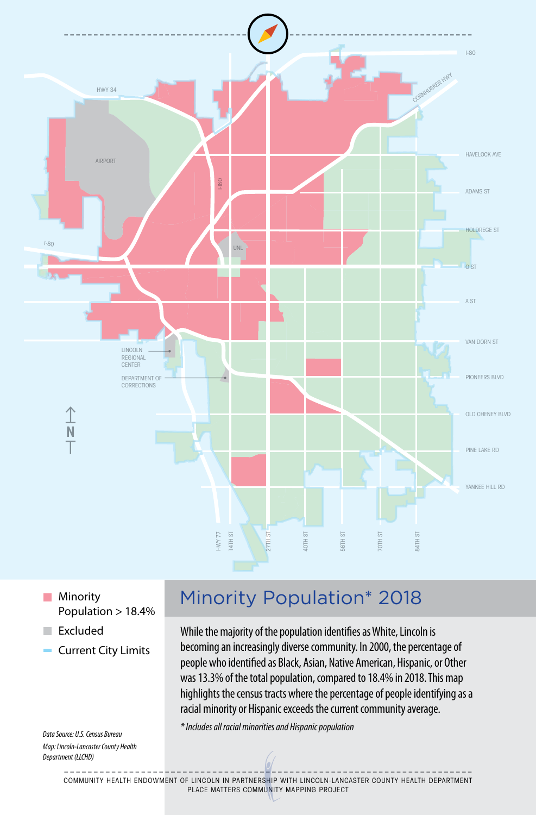

**Minority** Population > 18.4%

- Excluded
- **Current City Limits**

*Data Source: U.S. Census Bureau Map: Lincoln-Lancaster County Health Department (LLCHD)*

## Minority Population\* 2018

While the majority of the population identifies as White, Lincoln is becoming an increasingly diverse community. In 2000, the percentage of people who identified as Black, Asian, Native American, Hispanic, or Other was 13.3% of the total population, compared to 18.4% in 2018. This map highlights the census tracts where the percentage of people identifying as a racial minority or Hispanic exceeds the current community average.

*\* Includes all racial minorities and Hispanic population*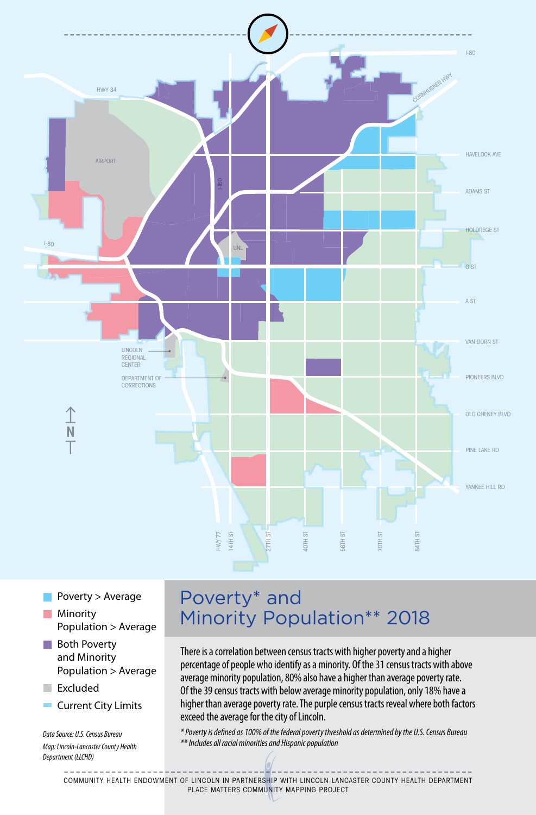

- Poverty > Average **Minority** Population > Average
- **Both Poverty** and Minority Population > Average
- Excluded
- Current City Limits

*Data Source: U.S. Census Bureau Map: Lincoln-Lancaster County Health Department (LLCHD)*

## Poverty\* and Minority Population\*\* 2018

There is a correlation between census tracts with higher poverty and a higher percentage of people who identify as a minority. Of the 31 census tracts with above average minority population, 80% also have a higher than average poverty rate. Of the 39 census tracts with below average minority population, only 18% have a higher than average poverty rate. The purple census tracts reveal where both factors exceed the average for the city of Lincoln.

*\* Poverty is defined as 100% of the federal poverty threshold as determined by the U.S. Census Bureau \*\* Includes all racial minorities and Hispanic population*